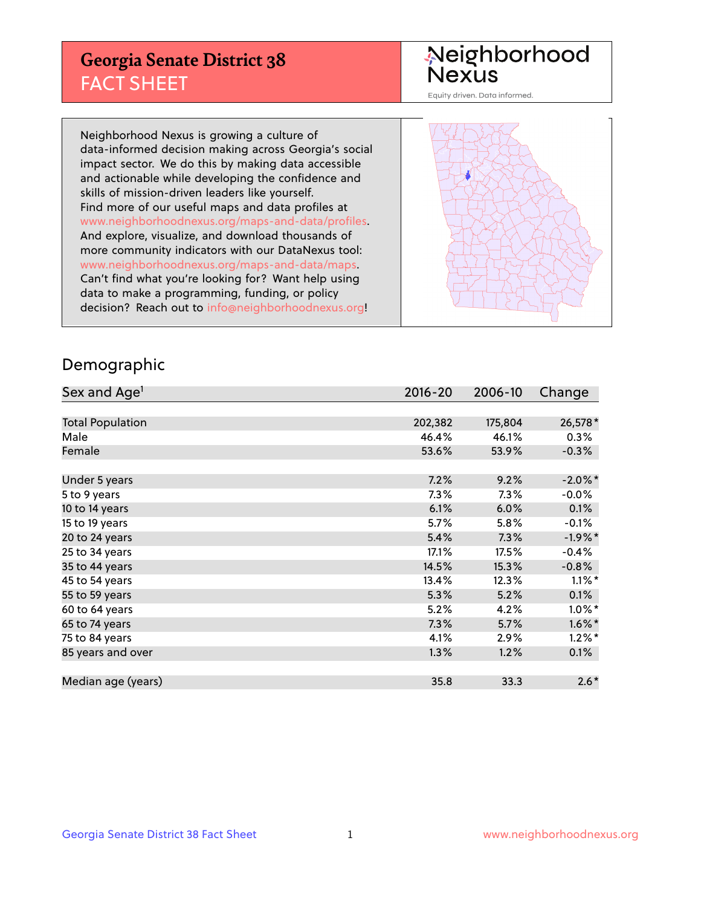## **Georgia Senate District 38** FACT SHEET

# Neighborhood<br>Nexus

Equity driven. Data informed.

Neighborhood Nexus is growing a culture of data-informed decision making across Georgia's social impact sector. We do this by making data accessible and actionable while developing the confidence and skills of mission-driven leaders like yourself. Find more of our useful maps and data profiles at www.neighborhoodnexus.org/maps-and-data/profiles. And explore, visualize, and download thousands of more community indicators with our DataNexus tool: www.neighborhoodnexus.org/maps-and-data/maps. Can't find what you're looking for? Want help using data to make a programming, funding, or policy decision? Reach out to [info@neighborhoodnexus.org!](mailto:info@neighborhoodnexus.org)



### Demographic

| Sex and Age <sup>1</sup> | $2016 - 20$ | 2006-10 | Change     |
|--------------------------|-------------|---------|------------|
|                          |             |         |            |
| <b>Total Population</b>  | 202,382     | 175,804 | 26,578*    |
| Male                     | 46.4%       | 46.1%   | $0.3\%$    |
| Female                   | 53.6%       | 53.9%   | $-0.3%$    |
|                          |             |         |            |
| Under 5 years            | 7.2%        | 9.2%    | $-2.0\%$ * |
| 5 to 9 years             | $7.3\%$     | 7.3%    | $-0.0\%$   |
| 10 to 14 years           | 6.1%        | 6.0%    | 0.1%       |
| 15 to 19 years           | 5.7%        | 5.8%    | $-0.1%$    |
| 20 to 24 years           | 5.4%        | 7.3%    | $-1.9%$ *  |
| 25 to 34 years           | 17.1%       | 17.5%   | $-0.4%$    |
| 35 to 44 years           | 14.5%       | 15.3%   | $-0.8%$    |
| 45 to 54 years           | 13.4%       | 12.3%   | $1.1\%$ *  |
| 55 to 59 years           | 5.3%        | 5.2%    | 0.1%       |
| 60 to 64 years           | 5.2%        | 4.2%    | $1.0\%$ *  |
| 65 to 74 years           | 7.3%        | 5.7%    | $1.6\%$ *  |
| 75 to 84 years           | 4.1%        | 2.9%    | $1.2\%$ *  |
| 85 years and over        | 1.3%        | 1.2%    | 0.1%       |
|                          |             |         |            |
| Median age (years)       | 35.8        | 33.3    | $2.6*$     |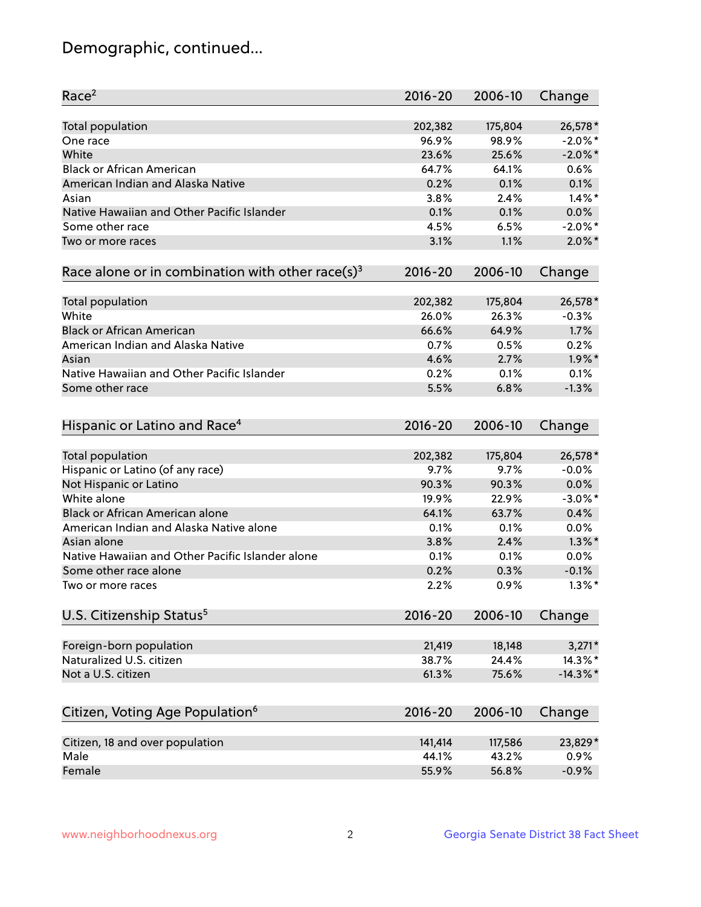## Demographic, continued...

| Race <sup>2</sup>                                            | $2016 - 20$ | 2006-10 | Change      |
|--------------------------------------------------------------|-------------|---------|-------------|
| <b>Total population</b>                                      | 202,382     | 175,804 | 26,578*     |
| One race                                                     | 96.9%       | 98.9%   | $-2.0\%$ *  |
| White                                                        | 23.6%       | 25.6%   | $-2.0\%$ *  |
| <b>Black or African American</b>                             | 64.7%       | 64.1%   | 0.6%        |
| American Indian and Alaska Native                            | 0.2%        | 0.1%    | 0.1%        |
| Asian                                                        | 3.8%        | 2.4%    | $1.4\%$ *   |
| Native Hawaiian and Other Pacific Islander                   | 0.1%        | 0.1%    | 0.0%        |
| Some other race                                              | 4.5%        | 6.5%    | $-2.0\%$ *  |
| Two or more races                                            | 3.1%        | 1.1%    | $2.0\%$ *   |
| Race alone or in combination with other race(s) <sup>3</sup> | $2016 - 20$ | 2006-10 | Change      |
| Total population                                             | 202,382     | 175,804 | 26,578*     |
| White                                                        | 26.0%       | 26.3%   | $-0.3%$     |
| <b>Black or African American</b>                             | 66.6%       | 64.9%   | 1.7%        |
| American Indian and Alaska Native                            | 0.7%        | 0.5%    | 0.2%        |
| Asian                                                        | 4.6%        | 2.7%    | $1.9\%$ *   |
| Native Hawaiian and Other Pacific Islander                   | 0.2%        | 0.1%    | 0.1%        |
| Some other race                                              | 5.5%        | 6.8%    | $-1.3%$     |
|                                                              |             |         |             |
| Hispanic or Latino and Race <sup>4</sup>                     | $2016 - 20$ | 2006-10 | Change      |
| <b>Total population</b>                                      | 202,382     | 175,804 | 26,578*     |
| Hispanic or Latino (of any race)                             | 9.7%        | 9.7%    | $-0.0%$     |
| Not Hispanic or Latino                                       | 90.3%       | 90.3%   | 0.0%        |
| White alone                                                  | 19.9%       | 22.9%   | $-3.0\%$ *  |
| Black or African American alone                              | 64.1%       | 63.7%   | 0.4%        |
| American Indian and Alaska Native alone                      | 0.1%        | 0.1%    | 0.0%        |
| Asian alone                                                  | 3.8%        | 2.4%    | $1.3\%$ *   |
| Native Hawaiian and Other Pacific Islander alone             | 0.1%        | 0.1%    | 0.0%        |
| Some other race alone                                        | 0.2%        | 0.3%    | $-0.1%$     |
| Two or more races                                            | 2.2%        | 0.9%    | $1.3\%$ *   |
| U.S. Citizenship Status <sup>5</sup>                         | 2016-20     | 2006-10 | Change      |
|                                                              |             |         |             |
| Foreign-born population                                      | 21,419      | 18,148  | $3,271*$    |
| Naturalized U.S. citizen                                     | 38.7%       | 24.4%   | 14.3%*      |
| Not a U.S. citizen                                           | 61.3%       | 75.6%   | $-14.3\%$ * |
| Citizen, Voting Age Population <sup>6</sup>                  | $2016 - 20$ | 2006-10 | Change      |
| Citizen, 18 and over population                              | 141,414     | 117,586 | 23,829*     |
| Male                                                         | 44.1%       | 43.2%   | 0.9%        |
| Female                                                       | 55.9%       | 56.8%   | $-0.9%$     |
|                                                              |             |         |             |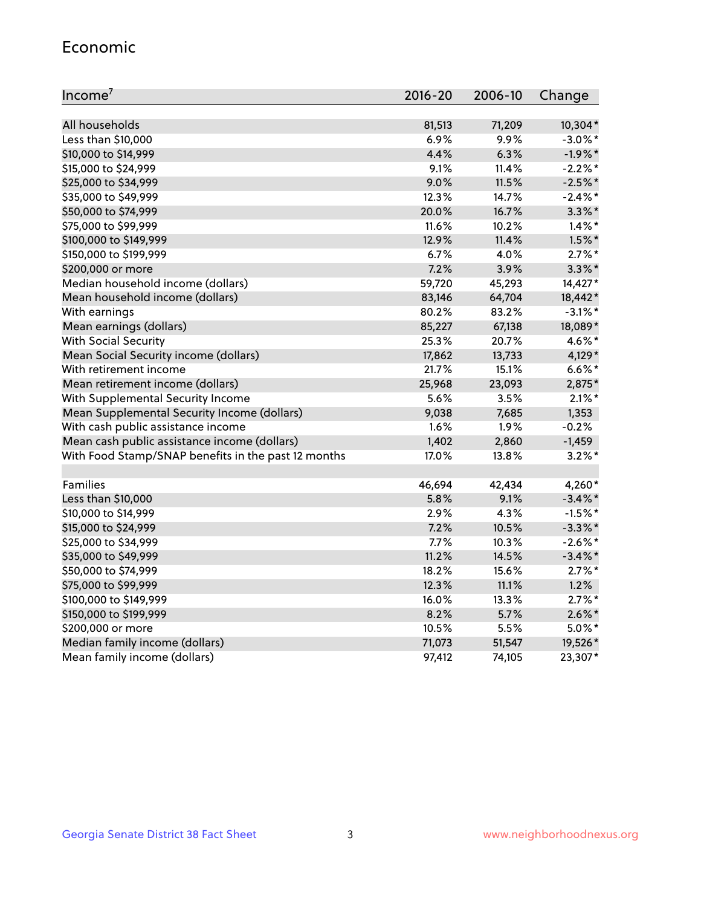#### Economic

| Income <sup>7</sup>                                 | $2016 - 20$ | 2006-10 | Change     |
|-----------------------------------------------------|-------------|---------|------------|
|                                                     |             |         |            |
| All households                                      | 81,513      | 71,209  | 10,304*    |
| Less than \$10,000                                  | 6.9%        | 9.9%    | $-3.0\%$ * |
| \$10,000 to \$14,999                                | 4.4%        | 6.3%    | $-1.9%$ *  |
| \$15,000 to \$24,999                                | 9.1%        | 11.4%   | $-2.2\%$ * |
| \$25,000 to \$34,999                                | 9.0%        | 11.5%   | $-2.5%$ *  |
| \$35,000 to \$49,999                                | 12.3%       | 14.7%   | $-2.4\%$ * |
| \$50,000 to \$74,999                                | 20.0%       | 16.7%   | $3.3\%$ *  |
| \$75,000 to \$99,999                                | 11.6%       | 10.2%   | $1.4\%$ *  |
| \$100,000 to \$149,999                              | 12.9%       | 11.4%   | $1.5\%$ *  |
| \$150,000 to \$199,999                              | 6.7%        | 4.0%    | $2.7\%$ *  |
| \$200,000 or more                                   | 7.2%        | 3.9%    | $3.3\%$ *  |
| Median household income (dollars)                   | 59,720      | 45,293  | 14,427*    |
| Mean household income (dollars)                     | 83,146      | 64,704  | 18,442*    |
| With earnings                                       | 80.2%       | 83.2%   | $-3.1\%$ * |
| Mean earnings (dollars)                             | 85,227      | 67,138  | 18,089*    |
| <b>With Social Security</b>                         | 25.3%       | 20.7%   | 4.6%*      |
| Mean Social Security income (dollars)               | 17,862      | 13,733  | 4,129*     |
| With retirement income                              | 21.7%       | 15.1%   | $6.6\%$ *  |
| Mean retirement income (dollars)                    | 25,968      | 23,093  | 2,875*     |
| With Supplemental Security Income                   | 5.6%        | 3.5%    | $2.1\%$ *  |
| Mean Supplemental Security Income (dollars)         | 9,038       | 7,685   | 1,353      |
| With cash public assistance income                  | 1.6%        | 1.9%    | $-0.2%$    |
| Mean cash public assistance income (dollars)        | 1,402       | 2,860   | $-1,459$   |
| With Food Stamp/SNAP benefits in the past 12 months | 17.0%       | 13.8%   | $3.2\%$ *  |
|                                                     |             |         |            |
| Families                                            | 46,694      | 42,434  | 4,260*     |
| Less than \$10,000                                  | 5.8%        | 9.1%    | $-3.4\%$ * |
| \$10,000 to \$14,999                                | 2.9%        | 4.3%    | $-1.5%$ *  |
| \$15,000 to \$24,999                                | 7.2%        | 10.5%   | $-3.3\%$ * |
| \$25,000 to \$34,999                                | 7.7%        | 10.3%   | $-2.6\%$ * |
| \$35,000 to \$49,999                                | 11.2%       | 14.5%   | $-3.4\%$ * |
| \$50,000 to \$74,999                                | 18.2%       | 15.6%   | $2.7\%$ *  |
| \$75,000 to \$99,999                                | 12.3%       | 11.1%   | 1.2%       |
| \$100,000 to \$149,999                              | 16.0%       | 13.3%   | $2.7\%$ *  |
| \$150,000 to \$199,999                              | 8.2%        | 5.7%    | $2.6\%$ *  |
| \$200,000 or more                                   | 10.5%       | 5.5%    | $5.0\%$ *  |
| Median family income (dollars)                      | 71,073      | 51,547  | 19,526*    |
| Mean family income (dollars)                        | 97,412      | 74,105  | 23,307*    |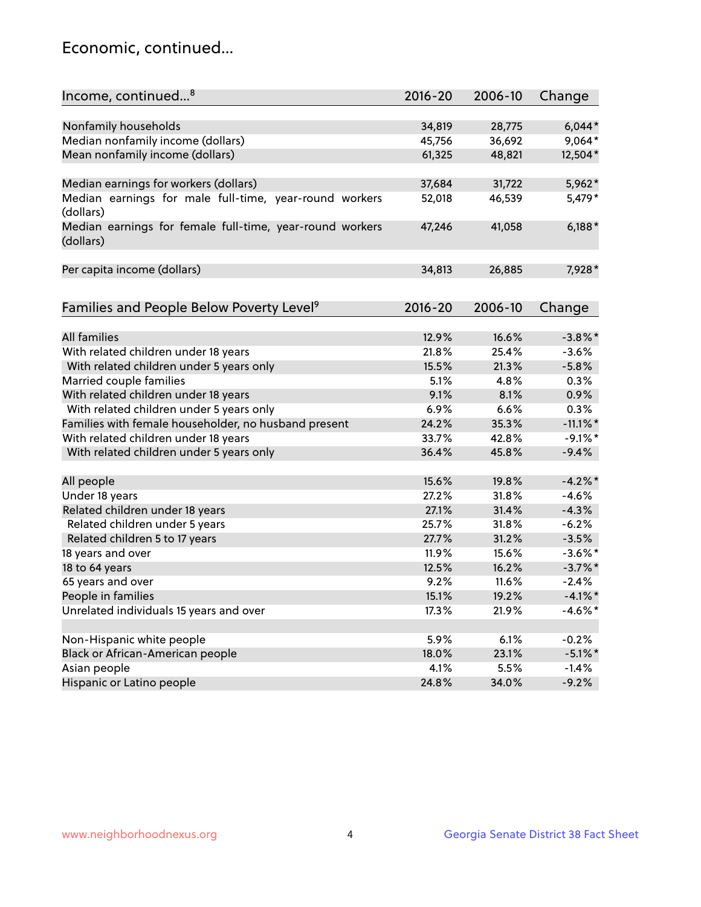## Economic, continued...

| Income, continued <sup>8</sup>                           | $2016 - 20$ | 2006-10 | Change      |
|----------------------------------------------------------|-------------|---------|-------------|
|                                                          |             |         |             |
| Nonfamily households                                     | 34,819      | 28,775  | $6,044*$    |
| Median nonfamily income (dollars)                        | 45,756      | 36,692  | 9,064*      |
| Mean nonfamily income (dollars)                          | 61,325      | 48,821  | 12,504*     |
|                                                          |             |         |             |
| Median earnings for workers (dollars)                    | 37,684      | 31,722  | 5,962*      |
| Median earnings for male full-time, year-round workers   | 52,018      | 46,539  | 5,479*      |
| (dollars)                                                |             |         |             |
| Median earnings for female full-time, year-round workers | 47,246      | 41,058  | $6,188*$    |
| (dollars)                                                |             |         |             |
|                                                          |             |         |             |
| Per capita income (dollars)                              | 34,813      | 26,885  | 7,928*      |
|                                                          |             |         |             |
| Families and People Below Poverty Level <sup>9</sup>     | $2016 - 20$ | 2006-10 | Change      |
|                                                          |             |         |             |
| <b>All families</b>                                      | 12.9%       | 16.6%   | $-3.8\%$ *  |
| With related children under 18 years                     | 21.8%       | 25.4%   | $-3.6%$     |
| With related children under 5 years only                 | 15.5%       | 21.3%   | $-5.8%$     |
| Married couple families                                  | 5.1%        | 4.8%    | 0.3%        |
| With related children under 18 years                     | 9.1%        | 8.1%    | 0.9%        |
| With related children under 5 years only                 | 6.9%        | 6.6%    | 0.3%        |
| Families with female householder, no husband present     | 24.2%       | 35.3%   | $-11.1\%$ * |
| With related children under 18 years                     | 33.7%       | 42.8%   | $-9.1\%$ *  |
| With related children under 5 years only                 | 36.4%       | 45.8%   | $-9.4%$     |
|                                                          |             |         |             |
| All people                                               | 15.6%       | 19.8%   | $-4.2%$     |
| Under 18 years                                           | 27.2%       | 31.8%   | $-4.6%$     |
| Related children under 18 years                          | 27.1%       | 31.4%   | $-4.3%$     |
| Related children under 5 years                           | 25.7%       | 31.8%   | $-6.2%$     |
| Related children 5 to 17 years                           | 27.7%       | 31.2%   | $-3.5%$     |
| 18 years and over                                        | 11.9%       | 15.6%   | $-3.6\%$ *  |
| 18 to 64 years                                           | 12.5%       | 16.2%   | $-3.7\%$ *  |
| 65 years and over                                        | 9.2%        | 11.6%   | $-2.4%$     |
| People in families                                       | 15.1%       | 19.2%   | $-4.1\%$ *  |
| Unrelated individuals 15 years and over                  | 17.3%       | 21.9%   | $-4.6\%$ *  |
|                                                          |             |         |             |
| Non-Hispanic white people                                | 5.9%        | 6.1%    | $-0.2%$     |
| Black or African-American people                         | 18.0%       | 23.1%   | $-5.1\%$ *  |
| Asian people                                             | 4.1%        | 5.5%    | $-1.4%$     |
| Hispanic or Latino people                                | 24.8%       | 34.0%   | $-9.2%$     |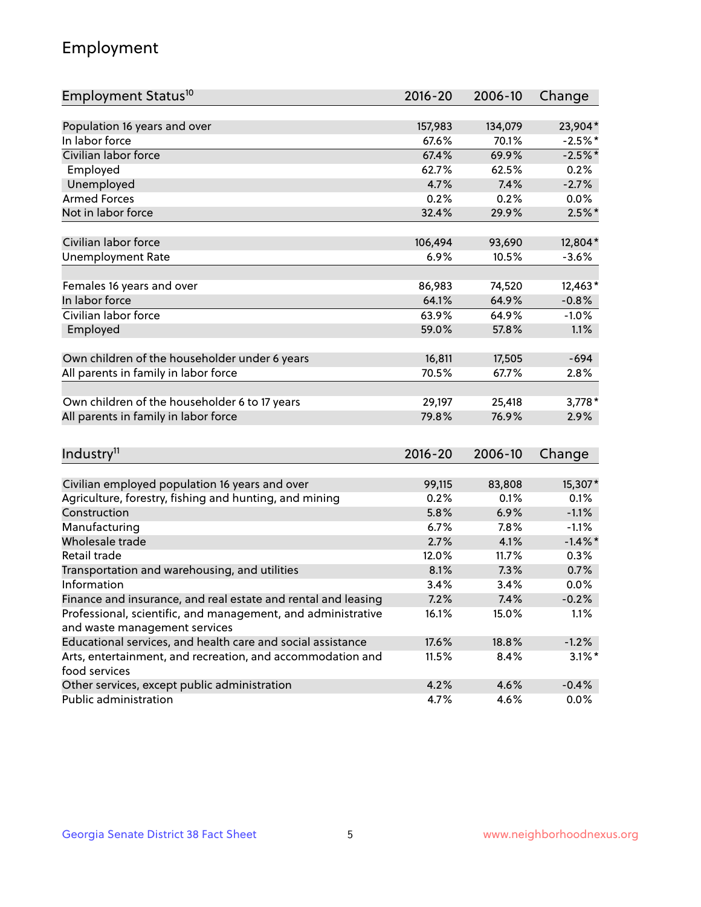## Employment

| Employment Status <sup>10</sup>                               | $2016 - 20$     | 2006-10         | Change     |
|---------------------------------------------------------------|-----------------|-----------------|------------|
|                                                               |                 |                 |            |
| Population 16 years and over                                  | 157,983         | 134,079         | 23,904*    |
| In labor force                                                | 67.6%           | 70.1%           | $-2.5%$ *  |
| Civilian labor force                                          | 67.4%           | 69.9%           | $-2.5%$ *  |
| Employed                                                      | 62.7%           | 62.5%           | 0.2%       |
| Unemployed                                                    | 4.7%            | 7.4%            | $-2.7%$    |
| <b>Armed Forces</b>                                           | 0.2%            | 0.2%            | 0.0%       |
| Not in labor force                                            | 32.4%           | 29.9%           | $2.5%$ *   |
| Civilian labor force                                          | 106,494         | 93,690          | 12,804*    |
| <b>Unemployment Rate</b>                                      | 6.9%            | 10.5%           | $-3.6%$    |
|                                                               |                 |                 |            |
| Females 16 years and over                                     | 86,983          | 74,520          | 12,463*    |
| In labor force                                                | 64.1%           | 64.9%           | $-0.8%$    |
| Civilian labor force                                          | 63.9%           | 64.9%           | $-1.0%$    |
| Employed                                                      | 59.0%           | 57.8%           | 1.1%       |
|                                                               |                 |                 |            |
| Own children of the householder under 6 years                 | 16,811          | 17,505          | $-694$     |
| All parents in family in labor force                          | 70.5%           | 67.7%           | 2.8%       |
|                                                               |                 |                 | $3,778*$   |
| Own children of the householder 6 to 17 years                 | 29,197<br>79.8% | 25,418<br>76.9% | 2.9%       |
| All parents in family in labor force                          |                 |                 |            |
| Industry <sup>11</sup>                                        | $2016 - 20$     | 2006-10         | Change     |
|                                                               |                 |                 |            |
| Civilian employed population 16 years and over                | 99,115          | 83,808          | 15,307*    |
| Agriculture, forestry, fishing and hunting, and mining        | 0.2%            | 0.1%            | 0.1%       |
| Construction                                                  | 5.8%            | 6.9%            | $-1.1%$    |
| Manufacturing                                                 | 6.7%            | 7.8%            | $-1.1%$    |
| Wholesale trade                                               | 2.7%            | 4.1%            | $-1.4\%$ * |
| Retail trade                                                  | 12.0%           | 11.7%           | 0.3%       |
| Transportation and warehousing, and utilities                 | 8.1%            | 7.3%            | 0.7%       |
| Information                                                   | 3.4%            | 3.4%            | 0.0%       |
| Finance and insurance, and real estate and rental and leasing | 7.2%            | 7.4%            | $-0.2%$    |
| Professional, scientific, and management, and administrative  | 16.1%           | 15.0%           | 1.1%       |
| and waste management services                                 |                 |                 |            |
| Educational services, and health care and social assistance   | 17.6%           | 18.8%           | $-1.2%$    |
| Arts, entertainment, and recreation, and accommodation and    | 11.5%           | 8.4%            | $3.1\%$ *  |
| food services                                                 |                 |                 |            |
| Other services, except public administration                  | 4.2%            | 4.6%            | $-0.4%$    |
| Public administration                                         | 4.7%            | 4.6%            | 0.0%       |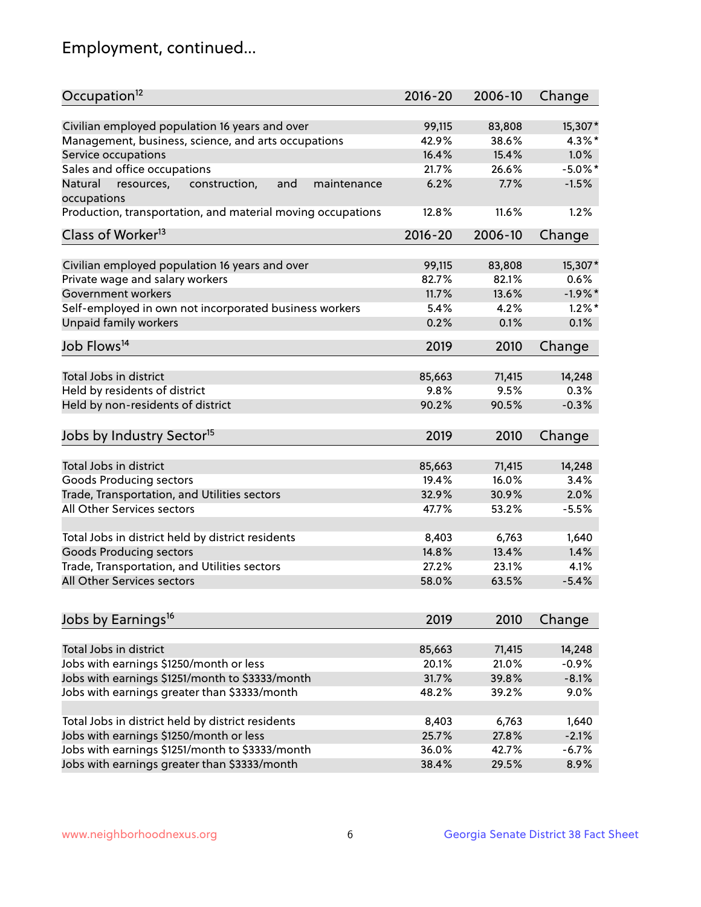## Employment, continued...

| Occupation <sup>12</sup>                                                    | $2016 - 20$ | 2006-10 | Change     |
|-----------------------------------------------------------------------------|-------------|---------|------------|
| Civilian employed population 16 years and over                              | 99,115      | 83,808  | 15,307*    |
| Management, business, science, and arts occupations                         | 42.9%       | 38.6%   | $4.3\%$ *  |
| Service occupations                                                         | 16.4%       | 15.4%   | 1.0%       |
| Sales and office occupations                                                | 21.7%       | 26.6%   | $-5.0\%$ * |
|                                                                             | 6.2%        |         |            |
| Natural<br>and<br>maintenance<br>resources,<br>construction,<br>occupations |             | 7.7%    | $-1.5%$    |
| Production, transportation, and material moving occupations                 | 12.8%       | 11.6%   | 1.2%       |
| Class of Worker <sup>13</sup>                                               | $2016 - 20$ | 2006-10 | Change     |
|                                                                             |             |         |            |
| Civilian employed population 16 years and over                              | 99,115      | 83,808  | 15,307*    |
| Private wage and salary workers                                             | 82.7%       | 82.1%   | 0.6%       |
| Government workers                                                          | 11.7%       | 13.6%   | $-1.9%$ *  |
| Self-employed in own not incorporated business workers                      | 5.4%        | 4.2%    | $1.2\%$ *  |
| Unpaid family workers                                                       | 0.2%        | 0.1%    | 0.1%       |
| Job Flows <sup>14</sup>                                                     | 2019        | 2010    | Change     |
|                                                                             |             |         |            |
| Total Jobs in district                                                      | 85,663      | 71,415  | 14,248     |
| Held by residents of district                                               | 9.8%        | 9.5%    | 0.3%       |
| Held by non-residents of district                                           | 90.2%       | 90.5%   | $-0.3%$    |
| Jobs by Industry Sector <sup>15</sup>                                       | 2019        | 2010    | Change     |
|                                                                             |             |         |            |
| Total Jobs in district                                                      | 85,663      | 71,415  | 14,248     |
| Goods Producing sectors                                                     | 19.4%       | 16.0%   | 3.4%       |
| Trade, Transportation, and Utilities sectors                                | 32.9%       | 30.9%   | 2.0%       |
| All Other Services sectors                                                  | 47.7%       | 53.2%   | $-5.5%$    |
|                                                                             |             |         |            |
| Total Jobs in district held by district residents                           | 8,403       | 6,763   | 1,640      |
| <b>Goods Producing sectors</b>                                              | 14.8%       | 13.4%   | 1.4%       |
| Trade, Transportation, and Utilities sectors                                | 27.2%       | 23.1%   | 4.1%       |
| All Other Services sectors                                                  | 58.0%       | 63.5%   | $-5.4%$    |
| Jobs by Earnings <sup>16</sup>                                              | 2019        | 2010    | Change     |
|                                                                             |             |         |            |
| Total Jobs in district                                                      | 85,663      | 71,415  | 14,248     |
| Jobs with earnings \$1250/month or less                                     | 20.1%       | 21.0%   | $-0.9%$    |
| Jobs with earnings \$1251/month to \$3333/month                             | 31.7%       | 39.8%   | $-8.1%$    |
| Jobs with earnings greater than \$3333/month                                | 48.2%       | 39.2%   | 9.0%       |
|                                                                             |             |         |            |
| Total Jobs in district held by district residents                           | 8,403       | 6,763   | 1,640      |
| Jobs with earnings \$1250/month or less                                     | 25.7%       | 27.8%   | $-2.1%$    |
| Jobs with earnings \$1251/month to \$3333/month                             | 36.0%       | 42.7%   | $-6.7%$    |
| Jobs with earnings greater than \$3333/month                                | 38.4%       | 29.5%   | 8.9%       |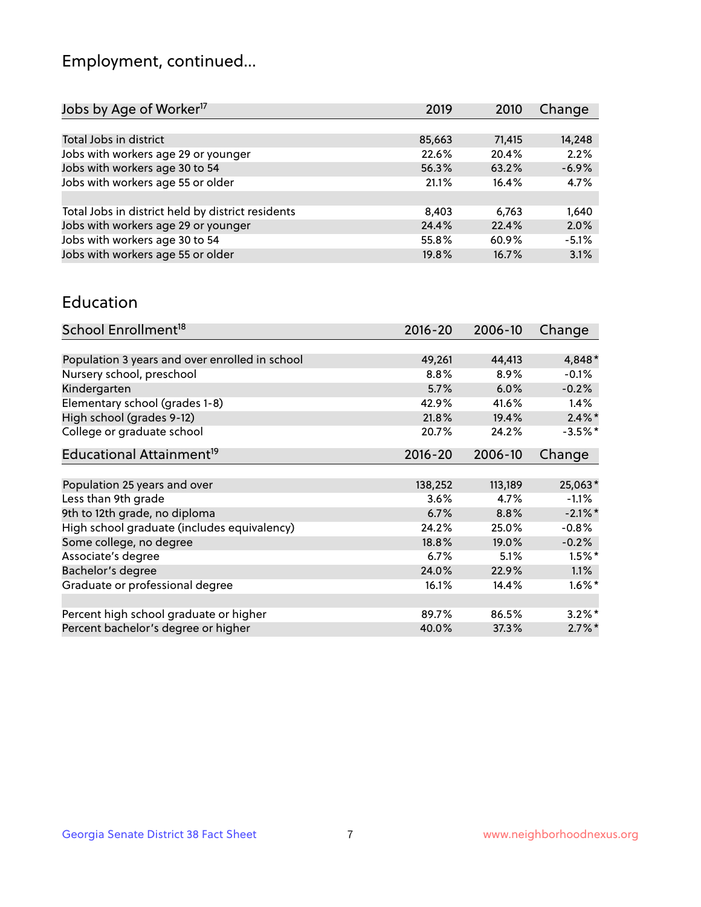## Employment, continued...

| Jobs by Age of Worker <sup>17</sup>               | 2019   | 2010   | Change  |
|---------------------------------------------------|--------|--------|---------|
|                                                   |        |        |         |
| Total Jobs in district                            | 85,663 | 71,415 | 14,248  |
| Jobs with workers age 29 or younger               | 22.6%  | 20.4%  | 2.2%    |
| Jobs with workers age 30 to 54                    | 56.3%  | 63.2%  | $-6.9%$ |
| Jobs with workers age 55 or older                 | 21.1%  | 16.4%  | 4.7%    |
|                                                   |        |        |         |
| Total Jobs in district held by district residents | 8,403  | 6.763  | 1,640   |
| Jobs with workers age 29 or younger               | 24.4%  | 22.4%  | 2.0%    |
| Jobs with workers age 30 to 54                    | 55.8%  | 60.9%  | $-5.1%$ |
| Jobs with workers age 55 or older                 | 19.8%  | 16.7%  | 3.1%    |
|                                                   |        |        |         |

#### Education

| School Enrollment <sup>18</sup>                | $2016 - 20$ | 2006-10 | Change     |
|------------------------------------------------|-------------|---------|------------|
|                                                |             |         |            |
| Population 3 years and over enrolled in school | 49,261      | 44,413  | 4,848*     |
| Nursery school, preschool                      | 8.8%        | 8.9%    | $-0.1%$    |
| Kindergarten                                   | 5.7%        | 6.0%    | $-0.2%$    |
| Elementary school (grades 1-8)                 | 42.9%       | 41.6%   | $1.4\%$    |
| High school (grades 9-12)                      | 21.8%       | 19.4%   | $2.4\%$ *  |
| College or graduate school                     | 20.7%       | 24.2%   | $-3.5%$ *  |
| Educational Attainment <sup>19</sup>           | $2016 - 20$ | 2006-10 | Change     |
|                                                |             |         |            |
| Population 25 years and over                   | 138,252     | 113,189 | 25,063*    |
| Less than 9th grade                            | 3.6%        | 4.7%    | $-1.1%$    |
| 9th to 12th grade, no diploma                  | 6.7%        | 8.8%    | $-2.1\%$ * |
| High school graduate (includes equivalency)    | 24.2%       | 25.0%   | $-0.8%$    |
| Some college, no degree                        | 18.8%       | 19.0%   | $-0.2%$    |
| Associate's degree                             | 6.7%        | 5.1%    | $1.5%$ *   |
| Bachelor's degree                              | 24.0%       | 22.9%   | $1.1\%$    |
| Graduate or professional degree                | 16.1%       | 14.4%   | $1.6\%$ *  |
|                                                |             |         |            |
| Percent high school graduate or higher         | 89.7%       | 86.5%   | $3.2\%$ *  |
| Percent bachelor's degree or higher            | 40.0%       | 37.3%   | $2.7\%$ *  |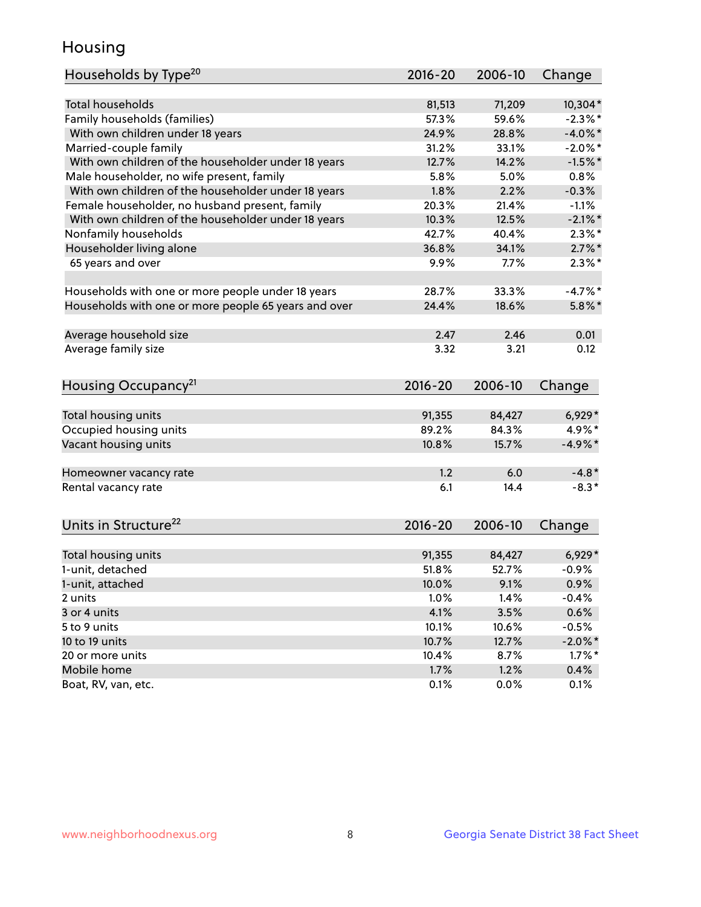## Housing

| Households by Type <sup>20</sup>                     | 2016-20         | 2006-10         | Change                  |
|------------------------------------------------------|-----------------|-----------------|-------------------------|
|                                                      |                 |                 |                         |
| <b>Total households</b>                              | 81,513          | 71,209          | 10,304*                 |
| Family households (families)                         | 57.3%           | 59.6%           | $-2.3\%$ *              |
| With own children under 18 years                     | 24.9%           | 28.8%           | $-4.0\%$ *              |
| Married-couple family                                | 31.2%           | 33.1%           | $-2.0\%$ *              |
| With own children of the householder under 18 years  | 12.7%           | 14.2%           | $-1.5%$ *               |
| Male householder, no wife present, family            | 5.8%            | 5.0%            | 0.8%                    |
| With own children of the householder under 18 years  | 1.8%            | 2.2%            | $-0.3%$                 |
| Female householder, no husband present, family       | 20.3%           | 21.4%           | $-1.1%$                 |
| With own children of the householder under 18 years  | 10.3%           | 12.5%           | $-2.1\%$ *              |
| Nonfamily households                                 | 42.7%           | 40.4%           | $2.3\%$ *               |
| Householder living alone                             | 36.8%           | 34.1%           | $2.7\%$ *               |
| 65 years and over                                    | 9.9%            | 7.7%            | $2.3\%$ *               |
|                                                      |                 |                 |                         |
| Households with one or more people under 18 years    | 28.7%           | 33.3%           | $-4.7%$ *               |
| Households with one or more people 65 years and over | 24.4%           | 18.6%           | $5.8\%$ *               |
|                                                      |                 |                 |                         |
| Average household size                               | 2.47            | 2.46            | 0.01                    |
| Average family size                                  | 3.32            | 3.21            | 0.12                    |
|                                                      |                 |                 |                         |
| Housing Occupancy <sup>21</sup>                      | 2016-20         | 2006-10         |                         |
|                                                      |                 |                 | Change                  |
|                                                      |                 |                 |                         |
| Total housing units                                  | 91,355          | 84,427          | $6,929*$                |
| Occupied housing units                               | 89.2%           | 84.3%           | 4.9%*                   |
| Vacant housing units                                 | 10.8%           | 15.7%           | $-4.9\%*$               |
|                                                      |                 |                 |                         |
| Homeowner vacancy rate                               | 1.2             | 6.0             | $-4.8*$                 |
| Rental vacancy rate                                  | 6.1             | 14.4            | $-8.3*$                 |
|                                                      |                 |                 |                         |
| Units in Structure <sup>22</sup>                     | $2016 - 20$     | 2006-10         |                         |
|                                                      |                 |                 | Change                  |
|                                                      |                 |                 |                         |
| Total housing units                                  | 91,355<br>51.8% | 84,427<br>52.7% | $6,929*$<br>$-0.9%$     |
| 1-unit, detached                                     |                 |                 |                         |
| 1-unit, attached<br>2 units                          | 10.0%           | 9.1%            | 0.9%                    |
|                                                      | 1.0%            | 1.4%            | $-0.4%$                 |
| 3 or 4 units<br>5 to 9 units                         | 4.1%<br>10.1%   | 3.5%<br>10.6%   | 0.6%<br>$-0.5%$         |
| 10 to 19 units                                       | 10.7%           |                 |                         |
| 20 or more units                                     | 10.4%           | 12.7%<br>8.7%   | $-2.0\%$ *<br>$1.7\%$ * |
| Mobile home                                          | 1.7%            | 1.2%            | 0.4%                    |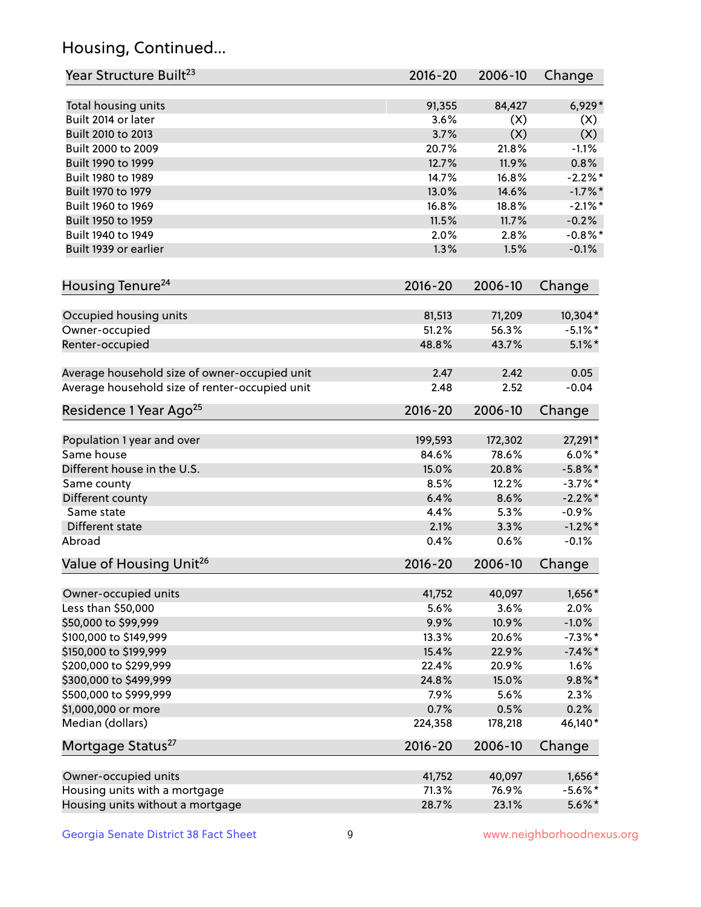## Housing, Continued...

| Year Structure Built <sup>23</sup>             | 2016-20     | 2006-10 | Change     |
|------------------------------------------------|-------------|---------|------------|
| Total housing units                            | 91,355      | 84,427  | $6,929*$   |
| Built 2014 or later                            | 3.6%        | (X)     | (X)        |
| Built 2010 to 2013                             | 3.7%        | (X)     | (X)        |
| Built 2000 to 2009                             | 20.7%       | 21.8%   | $-1.1%$    |
| Built 1990 to 1999                             | 12.7%       | 11.9%   | 0.8%       |
| Built 1980 to 1989                             | 14.7%       | 16.8%   | $-2.2\%$ * |
| Built 1970 to 1979                             | 13.0%       | 14.6%   | $-1.7\%$ * |
| Built 1960 to 1969                             | 16.8%       | 18.8%   | $-2.1\%$ * |
| Built 1950 to 1959                             | 11.5%       | 11.7%   | $-0.2%$    |
| Built 1940 to 1949                             | 2.0%        | 2.8%    | $-0.8\%$ * |
| Built 1939 or earlier                          | 1.3%        | 1.5%    | $-0.1%$    |
| Housing Tenure <sup>24</sup>                   | $2016 - 20$ | 2006-10 | Change     |
| Occupied housing units                         | 81,513      | 71,209  | $10,304*$  |
| Owner-occupied                                 | 51.2%       | 56.3%   | $-5.1\%$ * |
| Renter-occupied                                | 48.8%       | 43.7%   | $5.1\%$ *  |
| Average household size of owner-occupied unit  | 2.47        | 2.42    | 0.05       |
| Average household size of renter-occupied unit | 2.48        | 2.52    | $-0.04$    |
| Residence 1 Year Ago <sup>25</sup>             | 2016-20     | 2006-10 | Change     |
| Population 1 year and over                     | 199,593     | 172,302 | 27,291*    |
| Same house                                     | 84.6%       | 78.6%   | $6.0\%$ *  |
| Different house in the U.S.                    | 15.0%       | 20.8%   | $-5.8\%$ * |
| Same county                                    | 8.5%        | 12.2%   | $-3.7\%$ * |
| Different county                               | 6.4%        | 8.6%    | $-2.2\%$ * |
| Same state                                     | 4.4%        | 5.3%    | $-0.9%$    |
| Different state                                | 2.1%        | 3.3%    | $-1.2\%$ * |
| Abroad                                         | 0.4%        | 0.6%    | $-0.1%$    |
| Value of Housing Unit <sup>26</sup>            | $2016 - 20$ | 2006-10 | Change     |
| Owner-occupied units                           | 41,752      | 40,097  | 1,656*     |
| Less than \$50,000                             | 5.6%        | 3.6%    | 2.0%       |
| \$50,000 to \$99,999                           | 9.9%        | 10.9%   | $-1.0%$    |
| \$100,000 to \$149,999                         | 13.3%       | 20.6%   | $-7.3\%$ * |
| \$150,000 to \$199,999                         | 15.4%       | 22.9%   | $-7.4\%$ * |
| \$200,000 to \$299,999                         | 22.4%       | 20.9%   | 1.6%       |
| \$300,000 to \$499,999                         | 24.8%       | 15.0%   | $9.8\%$ *  |
| \$500,000 to \$999,999                         | 7.9%        | 5.6%    | 2.3%       |
| \$1,000,000 or more                            | 0.7%        | 0.5%    | 0.2%       |
| Median (dollars)                               | 224,358     | 178,218 | 46,140*    |
| Mortgage Status <sup>27</sup>                  | $2016 - 20$ | 2006-10 | Change     |
| Owner-occupied units                           | 41,752      | 40,097  | $1,656*$   |
| Housing units with a mortgage                  | 71.3%       | 76.9%   | $-5.6\%$ * |
| Housing units without a mortgage               | 28.7%       | 23.1%   | $5.6\%$ *  |
|                                                |             |         |            |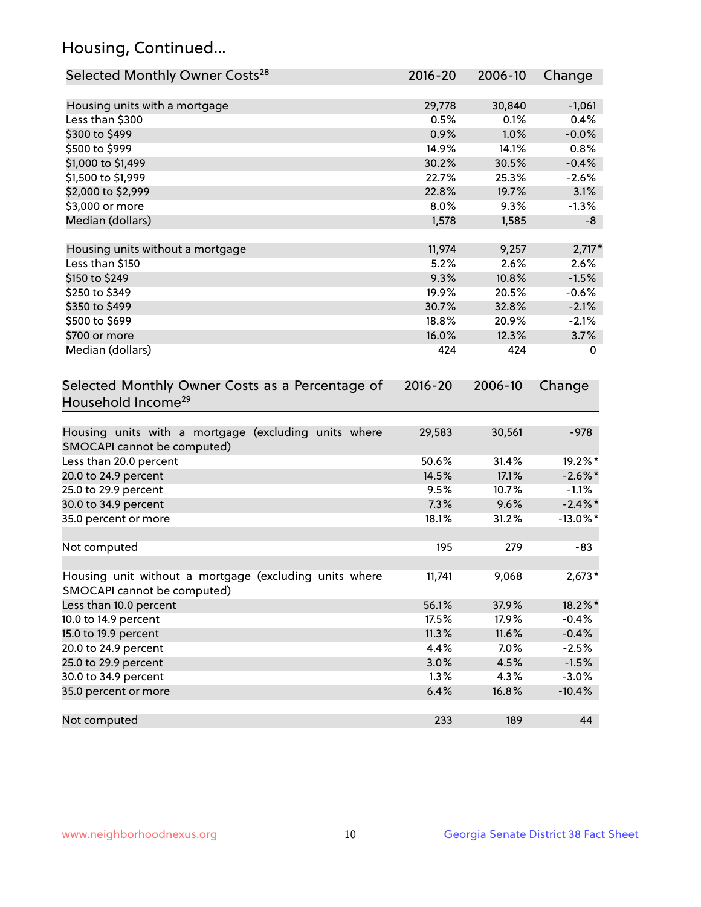## Housing, Continued...

| Selected Monthly Owner Costs <sup>28</sup>                                            | 2016-20     | 2006-10 | Change      |
|---------------------------------------------------------------------------------------|-------------|---------|-------------|
| Housing units with a mortgage                                                         | 29,778      | 30,840  | $-1,061$    |
| Less than \$300                                                                       | 0.5%        | 0.1%    | 0.4%        |
| \$300 to \$499                                                                        | 0.9%        | 1.0%    | $-0.0%$     |
| \$500 to \$999                                                                        | 14.9%       | 14.1%   | 0.8%        |
| \$1,000 to \$1,499                                                                    | 30.2%       | 30.5%   | $-0.4%$     |
| \$1,500 to \$1,999                                                                    | 22.7%       | 25.3%   | $-2.6%$     |
| \$2,000 to \$2,999                                                                    | 22.8%       | 19.7%   | 3.1%        |
| \$3,000 or more                                                                       | 8.0%        | 9.3%    | $-1.3%$     |
| Median (dollars)                                                                      | 1,578       | 1,585   | $-8$        |
|                                                                                       |             |         |             |
| Housing units without a mortgage                                                      | 11,974      | 9,257   | $2,717*$    |
| Less than \$150                                                                       | 5.2%        | 2.6%    | 2.6%        |
| \$150 to \$249                                                                        | 9.3%        | 10.8%   | $-1.5%$     |
| \$250 to \$349                                                                        | 19.9%       | 20.5%   | $-0.6%$     |
| \$350 to \$499                                                                        | 30.7%       | 32.8%   | $-2.1%$     |
| \$500 to \$699                                                                        | 18.8%       | 20.9%   | $-2.1%$     |
| \$700 or more                                                                         | 16.0%       | 12.3%   | 3.7%        |
| Median (dollars)                                                                      | 424         | 424     | 0           |
| Selected Monthly Owner Costs as a Percentage of<br>Household Income <sup>29</sup>     | $2016 - 20$ | 2006-10 | Change      |
| Housing units with a mortgage (excluding units where<br>SMOCAPI cannot be computed)   | 29,583      | 30,561  | $-978$      |
| Less than 20.0 percent                                                                | 50.6%       | 31.4%   | 19.2%*      |
| 20.0 to 24.9 percent                                                                  | 14.5%       | 17.1%   | $-2.6\%$ *  |
| 25.0 to 29.9 percent                                                                  | 9.5%        | 10.7%   | $-1.1%$     |
| 30.0 to 34.9 percent                                                                  | 7.3%        | 9.6%    | $-2.4\%$ *  |
| 35.0 percent or more                                                                  | 18.1%       | 31.2%   | $-13.0\%$ * |
| Not computed                                                                          | 195         | 279     | $-83$       |
| Housing unit without a mortgage (excluding units where<br>SMOCAPI cannot be computed) | 11,741      | 9,068   | $2,673*$    |
| Less than 10.0 percent                                                                | 56.1%       | 37.9%   | 18.2%*      |
| 10.0 to 14.9 percent                                                                  | 17.5%       | 17.9%   | $-0.4%$     |
| 15.0 to 19.9 percent                                                                  | 11.3%       | 11.6%   | $-0.4%$     |
| 20.0 to 24.9 percent                                                                  | 4.4%        | 7.0%    | $-2.5%$     |
| 25.0 to 29.9 percent                                                                  | 3.0%        | 4.5%    | $-1.5%$     |
| 30.0 to 34.9 percent                                                                  | 1.3%        | 4.3%    | $-3.0%$     |
| 35.0 percent or more                                                                  | 6.4%        | 16.8%   | $-10.4%$    |
| Not computed                                                                          | 233         | 189     | 44          |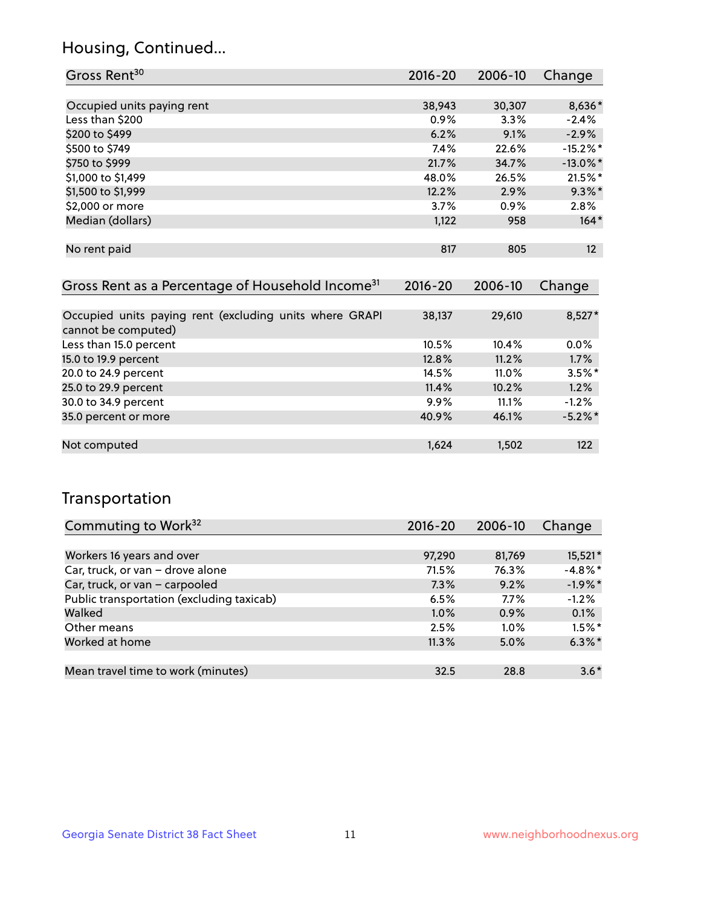## Housing, Continued...

| Gross Rent <sup>30</sup>   | 2016-20 | 2006-10 | Change          |
|----------------------------|---------|---------|-----------------|
|                            |         |         |                 |
| Occupied units paying rent | 38,943  | 30,307  | 8,636*          |
| Less than \$200            | 0.9%    | 3.3%    | $-2.4%$         |
| \$200 to \$499             | 6.2%    | 9.1%    | $-2.9%$         |
| \$500 to \$749             | $7.4\%$ | 22.6%   | $-15.2\%$ *     |
| \$750 to \$999             | 21.7%   | 34.7%   | $-13.0\%$ *     |
| \$1,000 to \$1,499         | 48.0%   | 26.5%   | 21.5%*          |
| \$1,500 to \$1,999         | 12.2%   | 2.9%    | $9.3\%$ *       |
| \$2,000 or more            | 3.7%    | 0.9%    | 2.8%            |
| Median (dollars)           | 1,122   | 958     | $164*$          |
|                            |         |         |                 |
| No rent paid               | 817     | 805     | 12 <sup>2</sup> |

| Gross Rent as a Percentage of Household Income <sup>31</sup>                   | $2016 - 20$ | 2006-10  | Change     |
|--------------------------------------------------------------------------------|-------------|----------|------------|
|                                                                                |             |          |            |
| Occupied units paying rent (excluding units where GRAPI<br>cannot be computed) | 38,137      | 29,610   | $8,527*$   |
| Less than 15.0 percent                                                         | 10.5%       | 10.4%    | $0.0\%$    |
| 15.0 to 19.9 percent                                                           | 12.8%       | 11.2%    | 1.7%       |
| 20.0 to 24.9 percent                                                           | 14.5%       | $11.0\%$ | $3.5\%$ *  |
| 25.0 to 29.9 percent                                                           | 11.4%       | 10.2%    | 1.2%       |
| 30.0 to 34.9 percent                                                           | $9.9\%$     | 11.1%    | $-1.2%$    |
| 35.0 percent or more                                                           | 40.9%       | 46.1%    | $-5.2\%$ * |
|                                                                                |             |          |            |
| Not computed                                                                   | 1,624       | 1,502    | 122        |

## Transportation

| Commuting to Work <sup>32</sup>           | 2016-20 | 2006-10 | Change     |
|-------------------------------------------|---------|---------|------------|
|                                           |         |         |            |
| Workers 16 years and over                 | 97,290  | 81,769  | 15,521*    |
| Car, truck, or van - drove alone          | 71.5%   | 76.3%   | $-4.8\%$ * |
| Car, truck, or van - carpooled            | 7.3%    | 9.2%    | $-1.9%$ *  |
| Public transportation (excluding taxicab) | 6.5%    | 7.7%    | $-1.2%$    |
| Walked                                    | $1.0\%$ | 0.9%    | 0.1%       |
| Other means                               | 2.5%    | $1.0\%$ | $1.5%$ *   |
| Worked at home                            | 11.3%   | 5.0%    | $6.3\%$ *  |
|                                           |         |         |            |
| Mean travel time to work (minutes)        | 32.5    | 28.8    | $3.6*$     |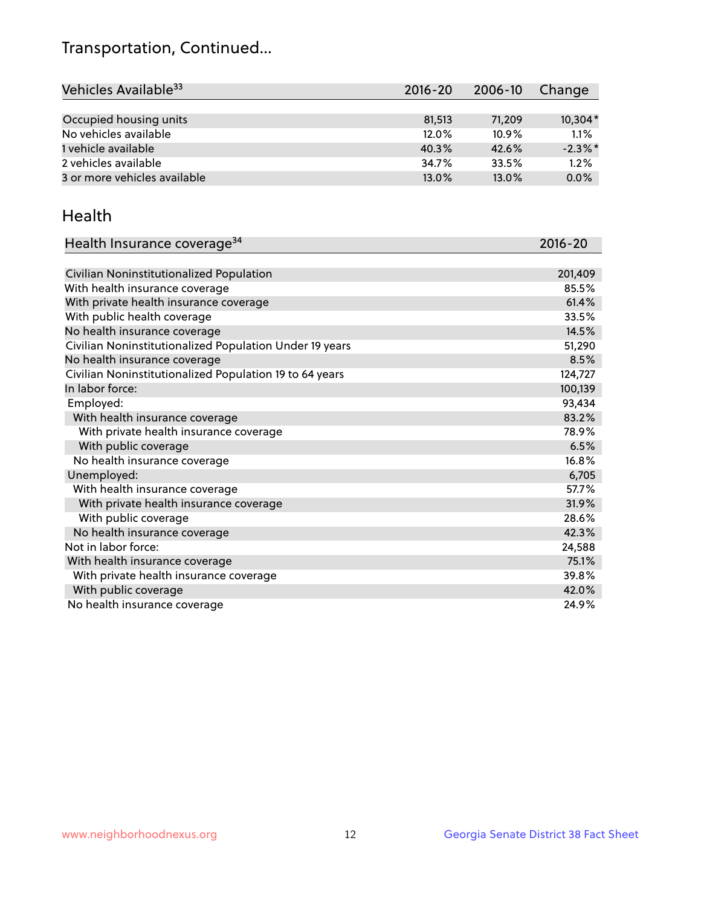## Transportation, Continued...

| Vehicles Available <sup>33</sup> | 2016-20 | 2006-10  | Change     |
|----------------------------------|---------|----------|------------|
|                                  |         |          |            |
| Occupied housing units           | 81.513  | 71.209   | 10,304*    |
| No vehicles available            | 12.0%   | $10.9\%$ | 1.1%       |
| 1 vehicle available              | 40.3%   | 42.6%    | $-2.3\%$ * |
| 2 vehicles available             | 34.7%   | 33.5%    | 1.2%       |
| 3 or more vehicles available     | 13.0%   | 13.0%    | 0.0%       |

#### Health

| Health Insurance coverage <sup>34</sup>                 | 2016-20 |
|---------------------------------------------------------|---------|
|                                                         |         |
| Civilian Noninstitutionalized Population                | 201,409 |
| With health insurance coverage                          | 85.5%   |
| With private health insurance coverage                  | 61.4%   |
| With public health coverage                             | 33.5%   |
| No health insurance coverage                            | 14.5%   |
| Civilian Noninstitutionalized Population Under 19 years | 51,290  |
| No health insurance coverage                            | 8.5%    |
| Civilian Noninstitutionalized Population 19 to 64 years | 124,727 |
| In labor force:                                         | 100,139 |
| Employed:                                               | 93,434  |
| With health insurance coverage                          | 83.2%   |
| With private health insurance coverage                  | 78.9%   |
| With public coverage                                    | 6.5%    |
| No health insurance coverage                            | 16.8%   |
| Unemployed:                                             | 6,705   |
| With health insurance coverage                          | 57.7%   |
| With private health insurance coverage                  | 31.9%   |
| With public coverage                                    | 28.6%   |
| No health insurance coverage                            | 42.3%   |
| Not in labor force:                                     | 24,588  |
| With health insurance coverage                          | 75.1%   |
| With private health insurance coverage                  | 39.8%   |
| With public coverage                                    | 42.0%   |
| No health insurance coverage                            | 24.9%   |